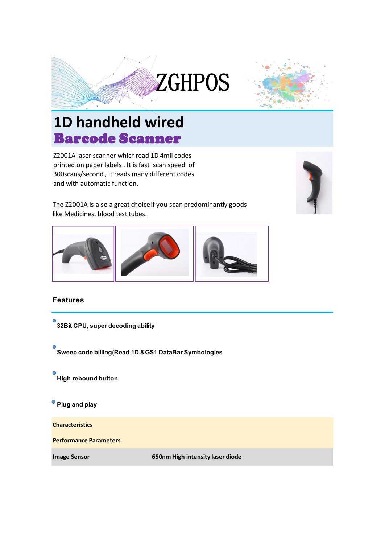



## Barcode Scanner **1D handheld wired**

Z2001A laser scanner whichread 1D 4mil codes printed on paper labels . It is fast scan speed of 300scans/second , it reads many different codes and with automatic function.



The Z2001A is also a great choice if you scan predominantly goods like Medicines, blood test tubes.



## **Features**



**Image Sensor 650nm High intensity laser diode**